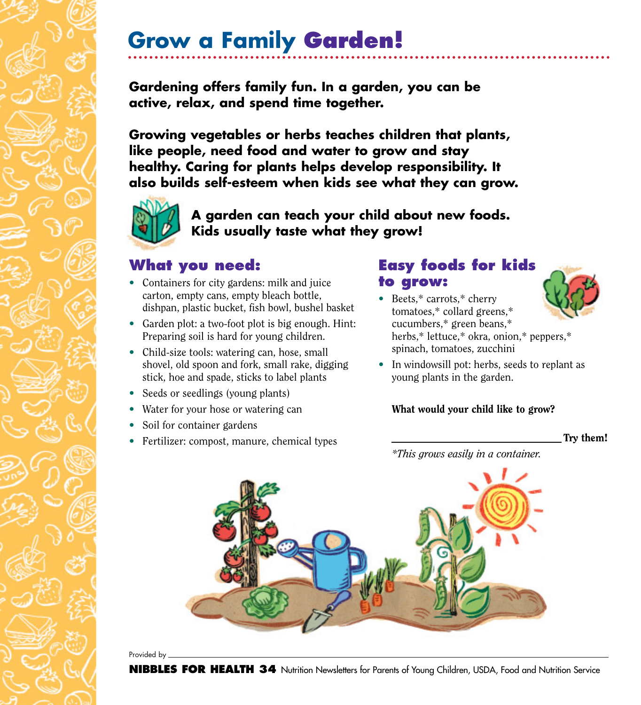# **Grow a Family Garden!**

**Gardening offers family fun. In a garden, you can be active, relax, and spend time together.**

**Growing vegetables or herbs teaches children that plants, like people, need food and water to grow and stay healthy. Caring for plants helps develop responsibility. It also builds self-esteem when kids see what they can grow.**



**A garden can teach your child about new foods. Kids usually taste what they grow!**

### **What you need:**

- Containers for city gardens: milk and juice carton, empty cans, empty bleach bottle, dishpan, plastic bucket, fish bowl, bushel basket
- Garden plot: a two-foot plot is big enough. Hint: Preparing soil is hard for young children.
- Child-size tools: watering can, hose, small shovel, old spoon and fork, small rake, digging stick, hoe and spade, sticks to label plants
- Seeds or seedlings (young plants)
- Water for your hose or watering can
- Soil for container gardens
- Fertilizer: compost, manure, chemical types

## **Easy foods for kids to grow:**

• Beets,\* carrots,\* cherry tomatoes,\* collard greens,\* cucumbers,\* green beans,\* herbs,\* lettuce,\* okra, onion,\* peppers,\* spinach, tomatoes, zucchini



• In windowsill pot: herbs, seeds to replant as young plants in the garden.

#### What would your child like to grow?

Try them!

*\*This grows easily in a container.*



Provided by